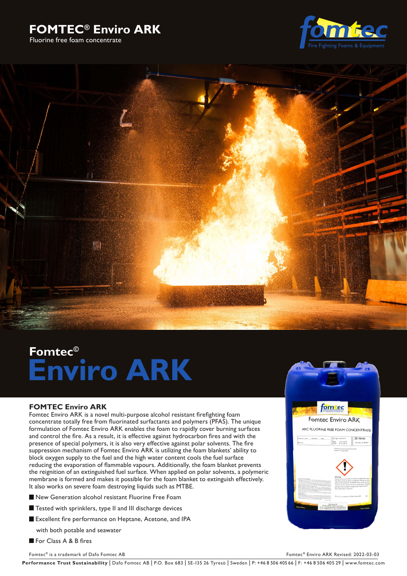# **FOMTEC® Enviro ARK**

Fluorine free foam concentrate





# **Fomtec© Enviro ARK**

# **FOMTEC Enviro ARK**

Fomtec Enviro ARK is a novel multi-purpose alcohol resistant firefighting foam concentrate totally free from fluorinated surfactants and polymers (PFAS). The unique formulation of Fomtec Enviro ARK enables the foam to rapidly cover burning surfaces and control the fire. As a result, it is effective against hydrocarbon fires and with the presence of special polymers, it is also very effective against polar solvents. The fire suppression mechanism of Fomtec Enviro ARK is utilizing the foam blankets' ability to block oxygen supply to the fuel and the high water content cools the fuel surface reducing the evaporation of flammable vapours. Additionally, the foam blanket prevents the reignition of an extinguished fuel surface. When applied on polar solvents, a polymeric membrane is formed and makes it possible for the foam blanket to extinguish effectively. It also works on severe foam destroying liquids such as MTBE.

- New Generation alcohol resistant Fluorine Free Foam
- Tested with sprinklers, type II and III discharge devices
- Excellent fire performance on Heptane, Acetone, and IPA

with both potable and seawater

For Class A & B fires

Fomtec® is a trademark of Dafo Fomtec AB Fomtec® Enviro ARK Revised: 2022-03-03



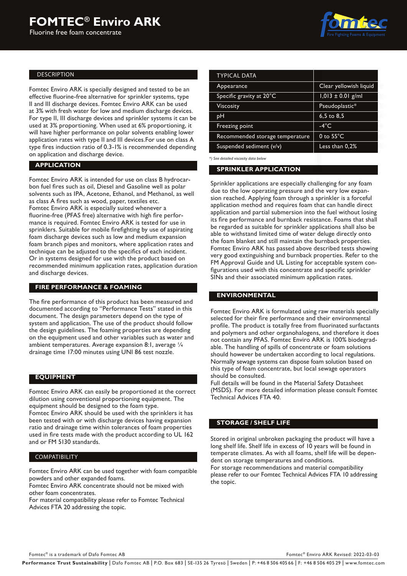Fluorine free foam concentrate



#### DESCRIPTION

Fomtec Enviro ARK is specially designed and tested to be an effective fluorine-free alternative for sprinkler systems, type II and III discharge devices. Fomtec Enviro ARK can be used at 3% with fresh water for low and medium discharge devices. For type II, III discharge devices and sprinkler systems it can be used at 3% proportioning. When used at 6% proportioning, it will have higher performance on polar solvents enabling lower application rates with type II and III devices.For use on class A type fires induction ratio of 0.3-1% is recommended depending on application and discharge device.

# **APPLICATION**

Fomtec Enviro ARK is intended for use on class B hydrocarbon fuel fires such as oil, Diesel and Gasoline well as polar solvents such as IPA, Acetone, Ethanol, and Methanol, as well as class A fires such as wood, paper, textiles etc. Fomtec Enviro ARK is especially suited whenever a fluorine-free (PFAS free) alternative with high fire performance is required. Fomtec Enviro ARK is tested for use in sprinklers. Suitable for mobile firefighting by use of aspirating foam discharge devices such as low and medium expansion foam branch pipes and monitors, where application rates and technique can be adjusted to the specifics of each incident. Or in systems designed for use with the product based on recommended minimum application rates, application duration and discharge devices.

## **FIRE PERFORMANCE & FOAMING**

The fire performance of this product has been measured and documented according to "Performance Tests" stated in this document. The design parameters depend on the type of system and application. The use of the product should follow the design guidelines. The foaming properties are depending on the equipment used and other variables such as water and ambient temperatures. Average expansion 8:1, average  $\frac{1}{4}$ drainage time 17:00 minutes using UNI 86 test nozzle.

#### **EQUIPMENT**

Fomtec Enviro ARK can easily be proportioned at the correct dilution using conventional proportioning equipment. The equipment should be designed to the foam type. Fomtec Enviro ARK should be used with the sprinklers it has been tested with or with discharge devices having expansion ratio and drainage time within tolerances of foam properties used in fire tests made with the product according to UL 162 and or FM 5130 standards.

#### COMPATIBILITY

Fomtec Enviro ARK can be used together with foam compatible powders and other expanded foams.

Fomtec Enviro ARK concentrate should not be mixed with other foam concentrates.

For material compatibility please refer to Fomtec Technical Advices FTA 20 addressing the topic.

| <b>TYPICAL DATA</b>             |                        |  |
|---------------------------------|------------------------|--|
| Appearance                      | Clear yellowish liquid |  |
| Specific gravity at 20°C        | $1,013 \pm 0.01$ g/ml  |  |
| Viscosity                       | Pseudoplastic*         |  |
| pН                              | $6.5 \text{ to } 8.5$  |  |
| Freezing point                  | $-4^{\circ}$ C         |  |
| Recommended storage temperature | 0 to $55^{\circ}$ C    |  |
| Suspended sediment (v/v)        | Less than 0.2%         |  |
|                                 |                        |  |

*\*) See detailed viscosity data below* 

#### **SPRINKLER APPLICATION**

Sprinkler applications are especially challenging for any foam due to the low operating pressure and the very low expansion reached. Applying foam through a sprinkler is a forceful application method and requires foam that can handle direct application and partial submersion into the fuel without losing its fire performance and burnback resistance. Foams that shall be regarded as suitable for sprinkler applications shall also be able to withstand limited time of water deluge directly onto the foam blanket and still maintain the burnback properties. Fomtec Enviro ARK has passed above described tests showing very good extinguishing and burnback properties. Refer to the FM Approval Guide and UL Listing for acceptable system configurations used with this concentrate and specific sprinkler SINs and their associated minimum application rates.

#### **ENVIRONMENTAL**

Fomtec Enviro ARK is formulated using raw materials specially selected for their fire performance and their environmental profile. The product is totally free from fluorinated surfactants and polymers and other organohalogens, and therefore it does not contain any PFAS. Fomtec Enviro ARK is 100% biodegradable. The handling of spills of concentrate or foam solutions should however be undertaken according to local regulations. Normally sewage systems can dispose foam solution based on this type of foam concentrate, but local sewage operators should be consulted.

Full details will be found in the Material Safety Datasheet (MSDS). For more detailed information please consult Fomtec Technical Advices FTA 40.

#### **STORAGE / SHELF LIFE**

Stored in original unbroken packaging the product will have a long shelf life. Shelf life in excess of 10 years will be found in temperate climates. As with all foams, shelf life will be dependent on storage temperatures and conditions.

For storage recommendations and material compatibility please refer to our Fomtec Technical Advices FTA 10 addressing the topic.

Fomtec® is a trademark of Dafo Fomtec AB Fomtec® Enviro ARK Revised: 2022-03-03

Performance Trust Sustainability | Dafo Fomtec AB | P.O. Box 683 | SE-135 26 Tyresö | Sweden | P: +46 8 506 405 66 | F: +46 8 506 405 29 | www.fomtec.com